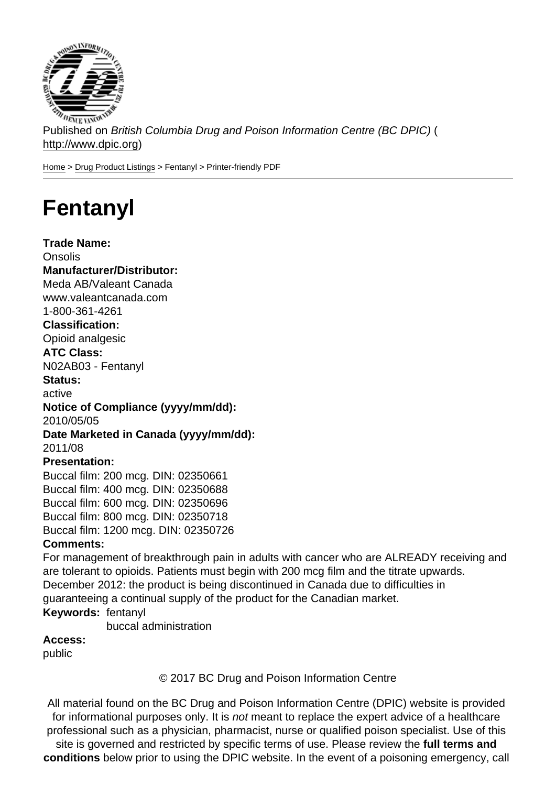Published on British Columbia Drug and Poison Information Centre (BC DPIC) ( http://www.dpic.org)

Home > Drug Product Listings > Fentanyl > Printer-friendly PDF

## [Fe](http://www.dpic.org/)[ntanyl](http://www.dpic.org/druglistings)

Trade Name: Onsolis Manufacturer/Distributor: Meda AB/Valeant Canada www.valeantcanada.com 1-800-361-4261 Classification: Opioid analgesic ATC Class: N02AB03 - Fentanyl Status: active Notice of Compliance (yyyy/mm/dd): 2010/05/05 Date Marketed in Canada (yyyy/mm/dd): 2011/08 Presentation: Buccal film: 200 mcg. DIN: 02350661 Buccal film: 400 mcg. DIN: 02350688 Buccal film: 600 mcg. DIN: 02350696 Buccal film: 800 mcg. DIN: 02350718 Buccal film: 1200 mcg. DIN: 02350726 Comments: For management of breakthrough pain in adults with cancer who are ALREADY receiving and are tolerant to opioids. Patients must begin with 200 mcg film and the titrate upwards. December 2012: the product is being discontinued in Canada due to difficulties in guaranteeing a continual supply of the product for the Canadian market. Keywords: fentanyl

buccal administration

Access:

public

© 2017 BC Drug and Poison Information Centre

All material found on the BC Drug and Poison Information Centre (DPIC) website is provided for informational purposes only. It is not meant to replace the expert advice of a healthcare professional such as a physician, pharmacist, nurse or qualified poison specialist. Use of this site is governed and restricted by specific terms of use. Please review the full terms and conditions below prior to using the DPIC website. In the event of a poisoning emergency, call